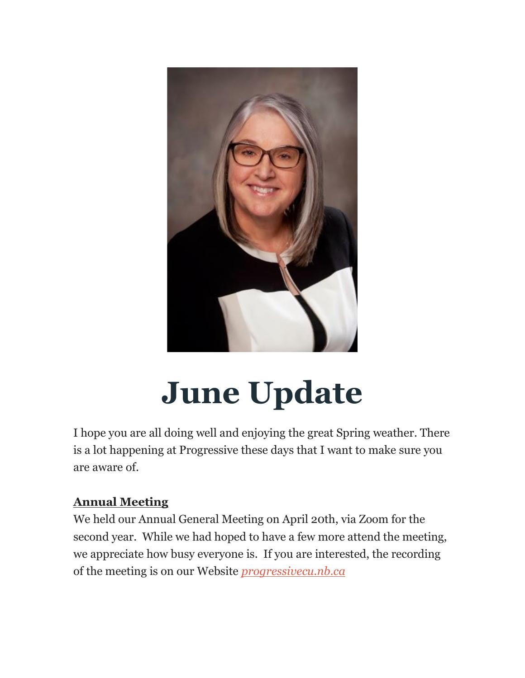

# **June Update**

I hope you are all doing well and enjoying the great Spring weather. There is a lot happening at Progressive these days that I want to make sure you are aware of.

# **Annual Meeting**

We held our Annual General Meeting on April 20th, via Zoom for the second year. While we had hoped to have a few more attend the meeting, we appreciate how busy everyone is. If you are interested, the recording of the meeting is on our Website *[progressivecu.nb.ca](http://progressivecu.nb.ca/)*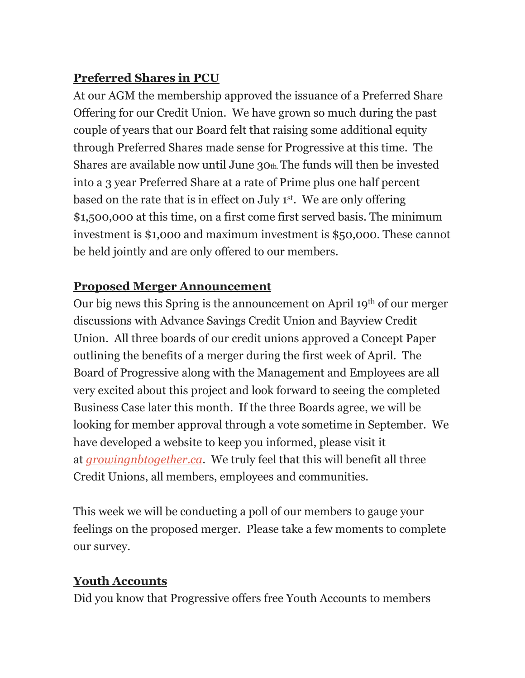#### **Preferred Shares in PCU**

At our AGM the membership approved the issuance of a Preferred Share Offering for our Credit Union. We have grown so much during the past couple of years that our Board felt that raising some additional equity through Preferred Shares made sense for Progressive at this time. The Shares are available now until June 30th.The funds will then be invested into a 3 year Preferred Share at a rate of Prime plus one half percent based on the rate that is in effect on July 1st . We are only offering \$1,500,000 at this time, on a first come first served basis. The minimum investment is \$1,000 and maximum investment is \$50,000. These cannot be held jointly and are only offered to our members.

### **Proposed Merger Announcement**

Our big news this Spring is the announcement on April 19th of our merger discussions with Advance Savings Credit Union and Bayview Credit Union. All three boards of our credit unions approved a Concept Paper outlining the benefits of a merger during the first week of April. The Board of Progressive along with the Management and Employees are all very excited about this project and look forward to seeing the completed Business Case later this month. If the three Boards agree, we will be looking for member approval through a vote sometime in September. We have developed a website to keep you informed, please visit it at *[growingnbtogether.ca](http://growingnbtogether.ca/)*. We truly feel that this will benefit all three Credit Unions, all members, employees and communities.

This week we will be conducting a poll of our members to gauge your feelings on the proposed merger. Please take a few moments to complete our survey.

# **Youth Accounts**

Did you know that Progressive offers free Youth Accounts to members